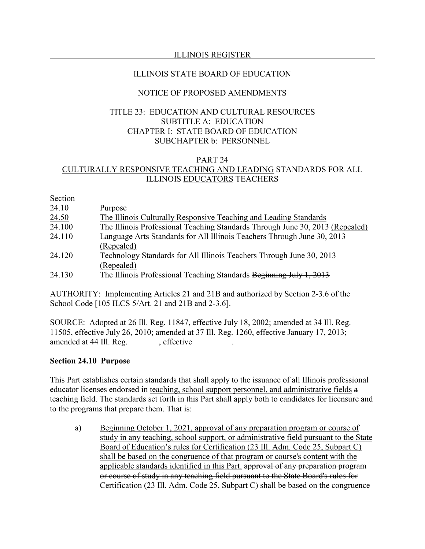# ILLINOIS REGISTER

# ILLINOIS STATE BOARD OF EDUCATION

# NOTICE OF PROPOSED AMENDMENTS

# TITLE 23: EDUCATION AND CULTURAL RESOURCES SUBTITLE A: EDUCATION CHAPTER I: STATE BOARD OF EDUCATION SUBCHAPTER b: PERSONNEL

### PART 24 CULTURALLY RESPONSIVE TEACHING AND LEADING STANDARDS FOR ALL ILLINOIS EDUCATORS TEACHERS

Section

| The Illinois Professional Teaching Standards Through June 30, 2013 (Repealed) |
|-------------------------------------------------------------------------------|
|                                                                               |
|                                                                               |
|                                                                               |
|                                                                               |
|                                                                               |
|                                                                               |

AUTHORITY: Implementing Articles 21 and 21B and authorized by Section 2-3.6 of the School Code [105 ILCS 5/Art. 21 and 21B and 2-3.6].

SOURCE: Adopted at 26 Ill. Reg. 11847, effective July 18, 2002; amended at 34 Ill. Reg. 11505, effective July 26, 2010; amended at 37 Ill. Reg. 1260, effective January 17, 2013; amended at 44 Ill. Reg. effective \_\_\_\_\_\_\_.

### **Section 24.10 Purpose**

This Part establishes certain standards that shall apply to the issuance of all Illinois professional educator licenses endorsed in teaching, school support personnel, and administrative fields a teaching field. The standards set forth in this Part shall apply both to candidates for licensure and to the programs that prepare them. That is:

a) Beginning October 1, 2021, approval of any preparation program or course of study in any teaching, school support, or administrative field pursuant to the State Board of Education's rules for Certification (23 Ill. Adm. Code 25, Subpart C) shall be based on the congruence of that program or course's content with the applicable standards identified in this Part. approval of any preparation program or course of study in any teaching field pursuant to the State Board's rules for Certification (23 Ill. Adm. Code 25, Subpart C) shall be based on the congruence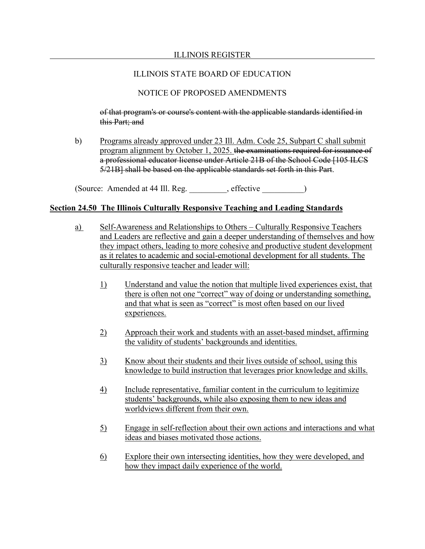# NOTICE OF PROPOSED AMENDMENTS

of that program's or course's content with the applicable standards identified in this Part; and

b) Programs already approved under 23 Ill. Adm. Code 25, Subpart C shall submit program alignment by October 1, 2025. the examinations required for issuance of a professional educator license under Article 21B of the School Code [105 ILCS 5/21B] shall be based on the applicable standards set forth in this Part.

(Source: Amended at 44 Ill. Reg. effective )

# **Section 24.50 The Illinois Culturally Responsive Teaching and Leading Standards**

- a) Self-Awareness and Relationships to Others Culturally Responsive Teachers and Leaders are reflective and gain a deeper understanding of themselves and how they impact others, leading to more cohesive and productive student development as it relates to academic and social-emotional development for all students. The culturally responsive teacher and leader will:
	- 1) Understand and value the notion that multiple lived experiences exist, that there is often not one "correct" way of doing or understanding something, and that what is seen as "correct" is most often based on our lived experiences.
	- 2) Approach their work and students with an asset-based mindset, affirming the validity of students' backgrounds and identities.
	- 3) Know about their students and their lives outside of school, using this knowledge to build instruction that leverages prior knowledge and skills.
	- 4) Include representative, familiar content in the curriculum to legitimize students' backgrounds, while also exposing them to new ideas and worldviews different from their own.
	- 5) Engage in self-reflection about their own actions and interactions and what ideas and biases motivated those actions.
	- 6) Explore their own intersecting identities, how they were developed, and how they impact daily experience of the world.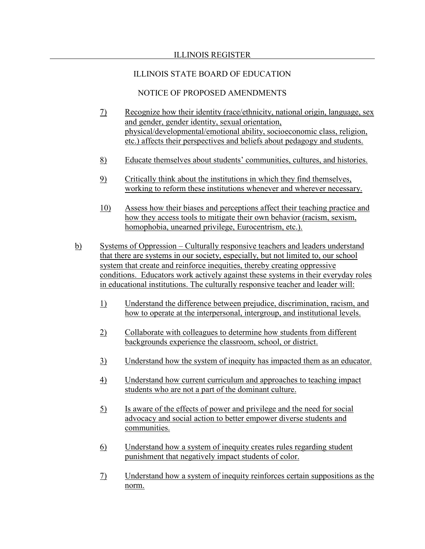## ILLINOIS REGISTER

# ILLINOIS STATE BOARD OF EDUCATION

- 7) Recognize how their identity (race/ethnicity, national origin, language, sex and gender, gender identity, sexual orientation, physical/developmental/emotional ability, socioeconomic class, religion, etc.) affects their perspectives and beliefs about pedagogy and students.
- 8) Educate themselves about students' communities, cultures, and histories.
- 9) Critically think about the institutions in which they find themselves, working to reform these institutions whenever and wherever necessary.
- 10) Assess how their biases and perceptions affect their teaching practice and how they access tools to mitigate their own behavior (racism, sexism, homophobia, unearned privilege, Eurocentrism, etc.).
- b) Systems of Oppression Culturally responsive teachers and leaders understand that there are systems in our society, especially, but not limited to, our school system that create and reinforce inequities, thereby creating oppressive conditions. Educators work actively against these systems in their everyday roles in educational institutions. The culturally responsive teacher and leader will:
	- 1) Understand the difference between prejudice, discrimination, racism, and how to operate at the interpersonal, intergroup, and institutional levels.
	- 2) Collaborate with colleagues to determine how students from different backgrounds experience the classroom, school, or district.
	- 3) Understand how the system of inequity has impacted them as an educator.
	- 4) Understand how current curriculum and approaches to teaching impact students who are not a part of the dominant culture.
	- 5) Is aware of the effects of power and privilege and the need for social advocacy and social action to better empower diverse students and communities.
	- 6) Understand how a system of inequity creates rules regarding student punishment that negatively impact students of color.
	- 7) Understand how a system of inequity reinforces certain suppositions as the norm.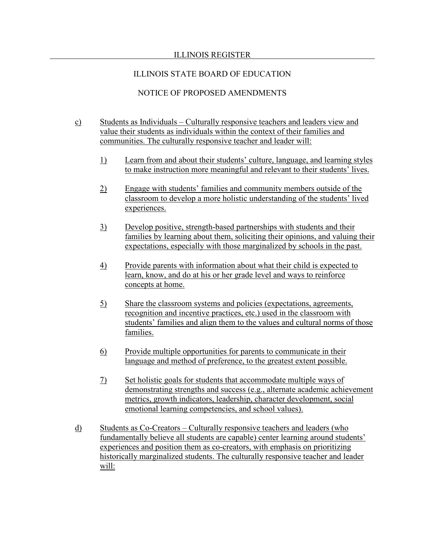# ILLINOIS REGISTER

# ILLINOIS STATE BOARD OF EDUCATION

- c) Students as Individuals Culturally responsive teachers and leaders view and value their students as individuals within the context of their families and communities. The culturally responsive teacher and leader will:
	- 1) Learn from and about their students' culture, language, and learning styles to make instruction more meaningful and relevant to their students' lives.
	- 2) Engage with students' families and community members outside of the classroom to develop a more holistic understanding of the students' lived experiences.
	- 3) Develop positive, strength-based partnerships with students and their families by learning about them, soliciting their opinions, and valuing their expectations, especially with those marginalized by schools in the past.
	- 4) Provide parents with information about what their child is expected to learn, know, and do at his or her grade level and ways to reinforce concepts at home.
	- 5) Share the classroom systems and policies (expectations, agreements, recognition and incentive practices, etc.) used in the classroom with students' families and align them to the values and cultural norms of those families.
	- 6) Provide multiple opportunities for parents to communicate in their language and method of preference, to the greatest extent possible.
	- 7) Set holistic goals for students that accommodate multiple ways of demonstrating strengths and success (e.g., alternate academic achievement metrics, growth indicators, leadership, character development, social emotional learning competencies, and school values).
- d) Students as Co-Creators Culturally responsive teachers and leaders (who fundamentally believe all students are capable) center learning around students' experiences and position them as co-creators, with emphasis on prioritizing historically marginalized students. The culturally responsive teacher and leader will: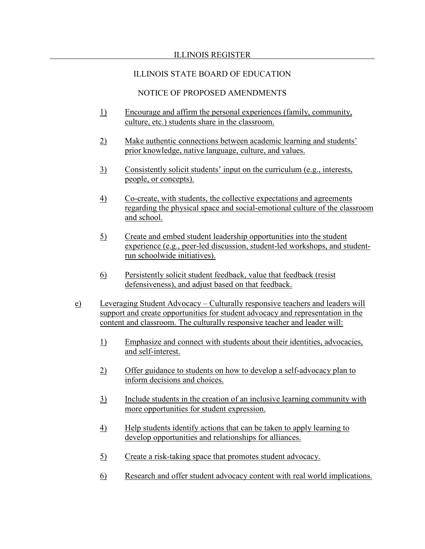- 1) Encourage and affirm the personal experiences (family, community, culture, etc.) students share in the classroom.
- 2) Make authentic connections between academic learning and students' prior knowledge, native language, culture, and values.
- 3) Consistently solicit students' input on the curriculum (e.g., interests, people, or concepts).
- 4) Co-create, with students, the collective expectations and agreements regarding the physical space and social-emotional culture of the classroom and school.
- 5) Create and embed student leadership opportunities into the student experience (e.g., peer-led discussion, student-led workshops, and studentrun schoolwide initiatives).
- 6) Persistently solicit student feedback, value that feedback (resist defensiveness), and adjust based on that feedback.
- e) Leveraging Student Advocacy Culturally responsive teachers and leaders will support and create opportunities for student advocacy and representation in the content and classroom. The culturally responsive teacher and leader will:
	- 1) Emphasize and connect with students about their identities, advocacies, and self-interest.
	- 2) Offer guidance to students on how to develop a self-advocacy plan to inform decisions and choices.
	- 3) Include students in the creation of an inclusive learning community with more opportunities for student expression.
	- 4) Help students identify actions that can be taken to apply learning to develop opportunities and relationships for alliances.
	- 5) Create a risk-taking space that promotes student advocacy.
	- 6) Research and offer student advocacy content with real world implications.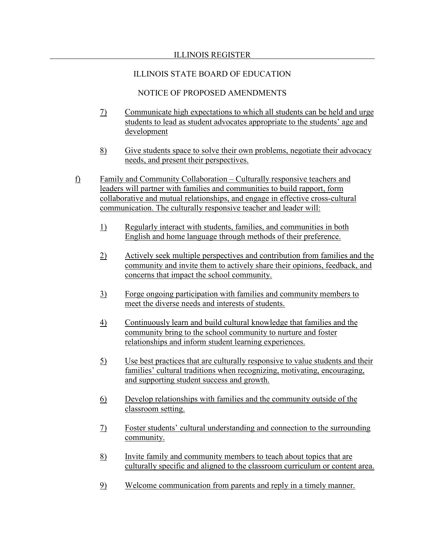## ILLINOIS REGISTER

# ILLINOIS STATE BOARD OF EDUCATION

- 7) Communicate high expectations to which all students can be held and urge students to lead as student advocates appropriate to the students' age and development
- 8) Give students space to solve their own problems, negotiate their advocacy needs, and present their perspectives.
- f) Family and Community Collaboration Culturally responsive teachers and leaders will partner with families and communities to build rapport, form collaborative and mutual relationships, and engage in effective cross-cultural communication. The culturally responsive teacher and leader will:
	- 1) Regularly interact with students, families, and communities in both English and home language through methods of their preference.
	- 2) Actively seek multiple perspectives and contribution from families and the community and invite them to actively share their opinions, feedback, and concerns that impact the school community.
	- 3) Forge ongoing participation with families and community members to meet the diverse needs and interests of students.
	- 4) Continuously learn and build cultural knowledge that families and the community bring to the school community to nurture and foster relationships and inform student learning experiences.
	- 5) Use best practices that are culturally responsive to value students and their families' cultural traditions when recognizing, motivating, encouraging, and supporting student success and growth.
	- 6) Develop relationships with families and the community outside of the classroom setting.
	- 7) Foster students' cultural understanding and connection to the surrounding community.
	- 8) Invite family and community members to teach about topics that are culturally specific and aligned to the classroom curriculum or content area.
	- 9) Welcome communication from parents and reply in a timely manner.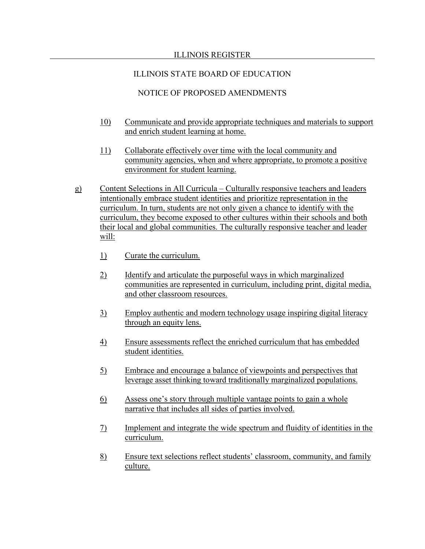- 10) Communicate and provide appropriate techniques and materials to support and enrich student learning at home.
- 11) Collaborate effectively over time with the local community and community agencies, when and where appropriate, to promote a positive environment for student learning.
- g) Content Selections in All Curricula Culturally responsive teachers and leaders intentionally embrace student identities and prioritize representation in the curriculum. In turn, students are not only given a chance to identify with the curriculum, they become exposed to other cultures within their schools and both their local and global communities. The culturally responsive teacher and leader will:
	- 1) Curate the curriculum.
	- 2) Identify and articulate the purposeful ways in which marginalized communities are represented in curriculum, including print, digital media, and other classroom resources.
	- 3) Employ authentic and modern technology usage inspiring digital literacy through an equity lens.
	- 4) Ensure assessments reflect the enriched curriculum that has embedded student identities.
	- 5) Embrace and encourage a balance of viewpoints and perspectives that leverage asset thinking toward traditionally marginalized populations.
	- 6) Assess one's story through multiple vantage points to gain a whole narrative that includes all sides of parties involved.
	- 7) Implement and integrate the wide spectrum and fluidity of identities in the curriculum.
	- 8) Ensure text selections reflect students' classroom, community, and family culture.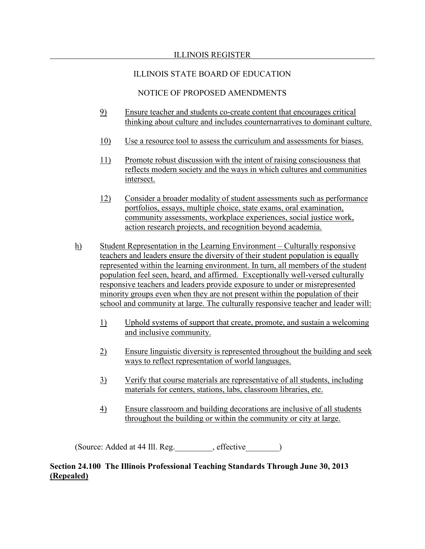### ILLINOIS REGISTER

# ILLINOIS STATE BOARD OF EDUCATION

# NOTICE OF PROPOSED AMENDMENTS

- 9) Ensure teacher and students co-create content that encourages critical thinking about culture and includes counternarratives to dominant culture.
- 10) Use a resource tool to assess the curriculum and assessments for biases.
- 11) Promote robust discussion with the intent of raising consciousness that reflects modern society and the ways in which cultures and communities intersect.
- 12) Consider a broader modality of student assessments such as performance portfolios, essays, multiple choice, state exams, oral examination, community assessments, workplace experiences, social justice work, action research projects, and recognition beyond academia.
- h) Student Representation in the Learning Environment Culturally responsive teachers and leaders ensure the diversity of their student population is equally represented within the learning environment. In turn, all members of the student population feel seen, heard, and affirmed. Exceptionally well-versed culturally responsive teachers and leaders provide exposure to under or misrepresented minority groups even when they are not present within the population of their school and community at large. The culturally responsive teacher and leader will:
	- 1) Uphold systems of support that create, promote, and sustain a welcoming and inclusive community.
	- 2) Ensure linguistic diversity is represented throughout the building and seek ways to reflect representation of world languages.
	- 3) Verify that course materials are representative of all students, including materials for centers, stations, labs, classroom libraries, etc.
	- 4) Ensure classroom and building decorations are inclusive of all students throughout the building or within the community or city at large.

(Source: Added at 44 Ill. Reg. effective )

# **Section 24.100 The Illinois Professional Teaching Standards Through June 30, 2013 (Repealed)**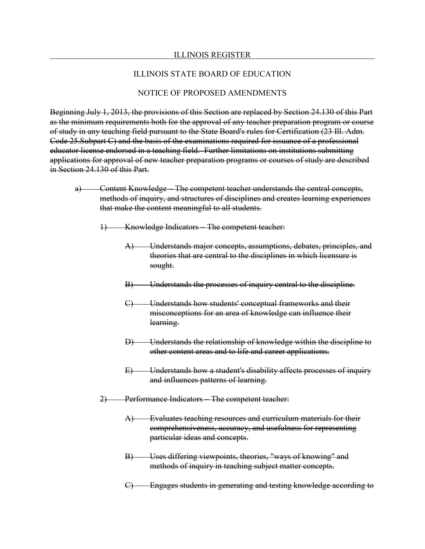#### ILLINOIS REGISTER

#### ILLINOIS STATE BOARD OF EDUCATION

### NOTICE OF PROPOSED AMENDMENTS

Beginning July 1, 2013, the provisions of this Section are replaced by Section 24.130 of this Part as the minimum requirements both for the approval of any teacher preparation program or course of study in any teaching field pursuant to the State Board's rules for Certification (23 Ill. Adm. Code 25.Subpart C) and the basis of the examinations required for issuance of a professional educator license endorsed in a teaching field. Further limitations on institutions submitting applications for approval of new teacher preparation programs or courses of study are described in Section 24.130 of this Part.

- a) Content Knowledge The competent teacher understands the central concepts, methods of inquiry, and structures of disciplines and creates learning experiences that make the content meaningful to all students.
	- 1) Knowledge Indicators The competent teacher:
		- A) Understands major concepts, assumptions, debates, principles, and theories that are central to the disciplines in which licensure is sought.
		- B) Understands the processes of inquiry central to the discipline.
		- C) Understands how students' conceptual frameworks and their misconceptions for an area of knowledge can influence their learning.
		- D) Understands the relationship of knowledge within the discipline to other content areas and to life and career applications.
		- E) Understands how a student's disability affects processes of inquiry and influences patterns of learning.
	- 2) Performance Indicators The competent teacher:
		- A) Evaluates teaching resources and curriculum materials for their comprehensiveness, accuracy, and usefulness for representing particular ideas and concepts.
		- B) Uses differing viewpoints, theories, "ways of knowing" and methods of inquiry in teaching subject matter concepts.
		- C) Engages students in generating and testing knowledge according to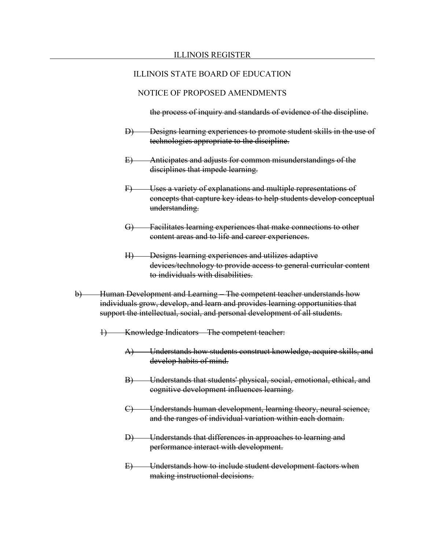### NOTICE OF PROPOSED AMENDMENTS

the process of inquiry and standards of evidence of the discipline.

- Designs learning experiences to promote student skills in the use of technologies appropriate to the discipline.
- E) Anticipates and adjusts for common misunderstandings of the disciplines that impede learning.
- F) Uses a variety of explanations and multiple representations of concepts that capture key ideas to help students develop conceptual understanding.
- G) Facilitates learning experiences that make connections to other content areas and to life and career experiences.
- H) Designs learning experiences and utilizes adaptive devices/technology to provide access to general curricular content to individuals with disabilities.
- b) Human Development and Learning The competent teacher understands how individuals grow, develop, and learn and provides learning opportunities that support the intellectual, social, and personal development of all students.
	- 1) Knowledge Indicators The competent teacher:
		- A) Understands how students construct knowledge, acquire skills, and develop habits of mind.
		- B) Understands that students' physical, social, emotional, ethical, and cognitive development influences learning.
		- C) Understands human development, learning theory, neural science, and the ranges of individual variation within each domain.
		- D) Understands that differences in approaches to learning and performance interact with development.
		- E) Understands how to include student development factors when making instructional decisions.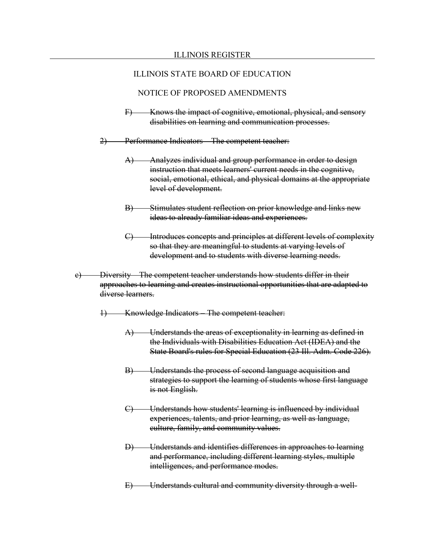- F) Knows the impact of cognitive, emotional, physical, and sensory disabilities on learning and communication processes.
- 2) Performance Indicators The competent teacher:
	- A) Analyzes individual and group performance in order to design instruction that meets learners' current needs in the cognitive, social, emotional, ethical, and physical domains at the appropriate level of development.
	- B) Stimulates student reflection on prior knowledge and links new ideas to already familiar ideas and experiences.
	- C) Introduces concepts and principles at different levels of complexity so that they are meaningful to students at varying levels of development and to students with diverse learning needs.
- c) Diversity The competent teacher understands how students differ in their approaches to learning and creates instructional opportunities that are adapted to diverse learners.
	- 1) Knowledge Indicators The competent teacher:
		- A) Understands the areas of exceptionality in learning as defined in the Individuals with Disabilities Education Act (IDEA) and the State Board's rules for Special Education (23 Ill. Adm. Code 226).
		- B) Understands the process of second language acquisition and strategies to support the learning of students whose first language is not English.
		- C) Understands how students' learning is influenced by individual experiences, talents, and prior learning, as well as language, culture, family, and community values.
		- D) Understands and identifies differences in approaches to learning and performance, including different learning styles, multiple intelligences, and performance modes.
		- E) Understands cultural and community diversity through a well-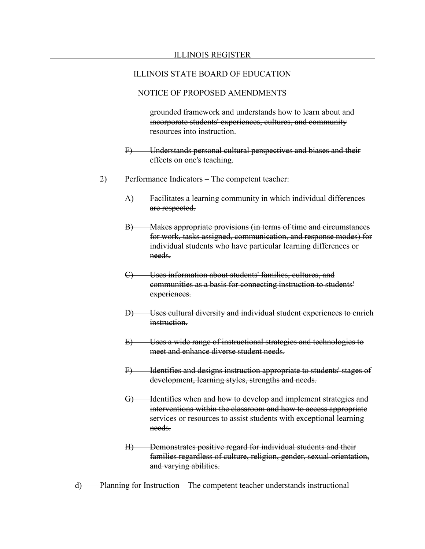### NOTICE OF PROPOSED AMENDMENTS

grounded framework and understands how to learn about and incorporate students' experiences, cultures, and community resources into instruction.

- F) Understands personal cultural perspectives and biases and their effects on one's teaching.
- 2) Performance Indicators The competent teacher:
	- A) Facilitates a learning community in which individual differences are respected.
	- B) Makes appropriate provisions (in terms of time and circumstances for work, tasks assigned, communication, and response modes) for individual students who have particular learning differences or needs.
	- C) Uses information about students' families, cultures, and communities as a basis for connecting instruction to students' experiences.
	- D) Uses cultural diversity and individual student experiences to enrich instruction.
	- E) Uses a wide range of instructional strategies and technologies to meet and enhance diverse student needs.
	- F) Identifies and designs instruction appropriate to students' stages of development, learning styles, strengths and needs.
	- G) Identifies when and how to develop and implement strategies and interventions within the classroom and how to access appropriate services or resources to assist students with exceptional learning needs.
	- H) Demonstrates positive regard for individual students and their families regardless of culture, religion, gender, sexual orientation, and varying abilities.
- d) Planning for Instruction The competent teacher understands instructional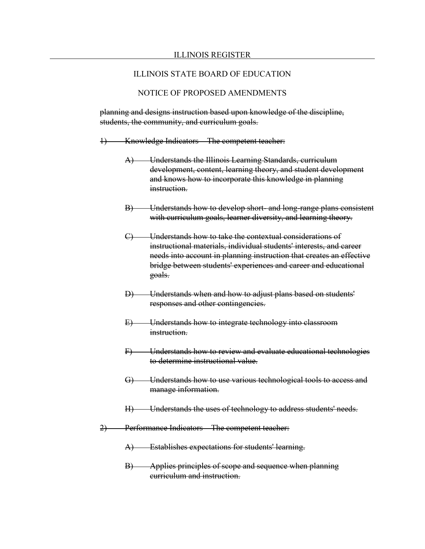### NOTICE OF PROPOSED AMENDMENTS

planning and designs instruction based upon knowledge of the discipline, students, the community, and curriculum goals.

- 1) Knowledge Indicators The competent teacher:
	- A) Understands the Illinois Learning Standards, curriculum development, content, learning theory, and student development and knows how to incorporate this knowledge in planning instruction.
	- B) Understands how to develop short- and long-range plans consistent with curriculum goals, learner diversity, and learning theory.
	- C) Understands how to take the contextual considerations of instructional materials, individual students' interests, and career needs into account in planning instruction that creates an effective bridge between students' experiences and career and educational goals.
	- D) Understands when and how to adjust plans based on students' responses and other contingencies.
	- E) Understands how to integrate technology into classroom instruction.
	- F) Understands how to review and evaluate educational technologies to determine instructional value.
	- G) Understands how to use various technological tools to access and manage information.
	- H) Understands the uses of technology to address students' needs.
- 2) Performance Indicators The competent teacher:
	- A) Establishes expectations for students' learning.
	- B) Applies principles of scope and sequence when planning curriculum and instruction.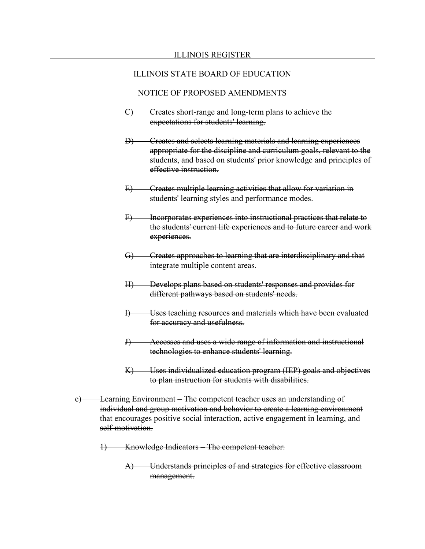- C) Creates short-range and long-term plans to achieve the expectations for students' learning.
- D) Creates and selects learning materials and learning experiences appropriate for the discipline and curriculum goals, relevant to the students, and based on students' prior knowledge and principles of effective instruction.
- E) Creates multiple learning activities that allow for variation in students' learning styles and performance modes.
- F) Incorporates experiences into instructional practices that relate to the students' current life experiences and to future career and work experiences.
- G) Creates approaches to learning that are interdisciplinary and that integrate multiple content areas.
- H) Develops plans based on students' responses and provides for different pathways based on students' needs.
- I) Uses teaching resources and materials which have been evaluated for accuracy and usefulness.
- J) Accesses and uses a wide range of information and instructional technologies to enhance students' learning.
- K) Uses individualized education program (IEP) goals and objectives to plan instruction for students with disabilities.
- e) Learning Environment The competent teacher uses an understanding of individual and group motivation and behavior to create a learning environment that encourages positive social interaction, active engagement in learning, and self-motivation.
	- 1) Knowledge Indicators The competent teacher:
		- A) Understands principles of and strategies for effective classroom management.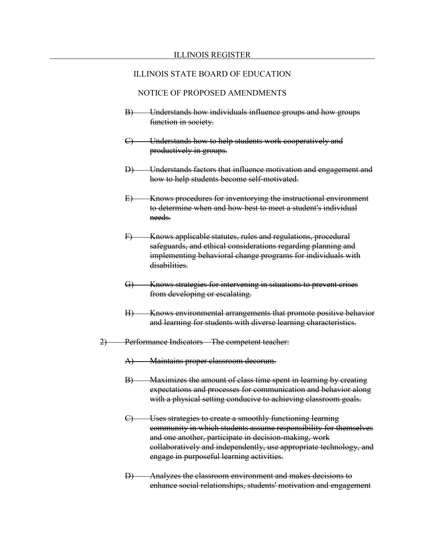- B) Understands how individuals influence groups and how groups function in society.
- C) Understands how to help students work cooperatively and productively in groups.
- D) Understands factors that influence motivation and engagement and how to help students become self-motivated.
- E) Knows procedures for inventorying the instructional environment to determine when and how best to meet a student's individual needs.
- F) Knows applicable statutes, rules and regulations, procedural safeguards, and ethical considerations regarding planning and implementing behavioral change programs for individuals with disabilities.
- G) Knows strategies for intervening in situations to prevent crises from developing or escalating.
- H) Knows environmental arrangements that promote positive behavior and learning for students with diverse learning characteristics.
- 2) Performance Indicators The competent teacher:
	- A) Maintains proper classroom decorum.
	- B) Maximizes the amount of class time spent in learning by creating expectations and processes for communication and behavior along with a physical setting conducive to achieving classroom goals.
	- C) Uses strategies to create a smoothly functioning learning community in which students assume responsibility for themselves and one another, participate in decision-making, work collaboratively and independently, use appropriate technology, and engage in purposeful learning activities.
	- D) Analyzes the classroom environment and makes decisions to enhance social relationships, students' motivation and engagement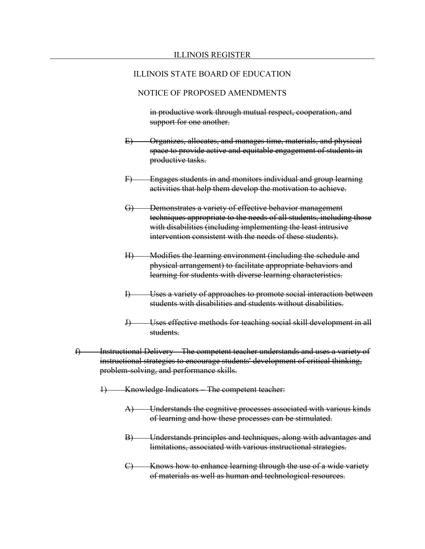# NOTICE OF PROPOSED AMENDMENTS

in productive work through mutual respect, cooperation, and support for one another.

- E) Organizes, allocates, and manages time, materials, and physical space to provide active and equitable engagement of students in productive tasks.
- F) Engages students in and monitors individual and group learning activities that help them develop the motivation to achieve.
- G) Demonstrates a variety of effective behavior management techniques appropriate to the needs of all students, including those with disabilities (including implementing the least intrusive intervention consistent with the needs of these students).
- H) Modifies the learning environment (including the schedule and physical arrangement) to facilitate appropriate behaviors and learning for students with diverse learning characteristics.
- I) Uses a variety of approaches to promote social interaction between students with disabilities and students without disabilities.
- J) Uses effective methods for teaching social skill development in all students.
- f) Instructional Delivery The competent teacher understands and uses a variety of instructional strategies to encourage students' development of critical thinking, problem-solving, and performance skills.
	- 1) Knowledge Indicators The competent teacher:
		- A) Understands the cognitive processes associated with various kinds of learning and how these processes can be stimulated.
		- B) Understands principles and techniques, along with advantages and limitations, associated with various instructional strategies.
		- C) Knows how to enhance learning through the use of a wide variety of materials as well as human and technological resources.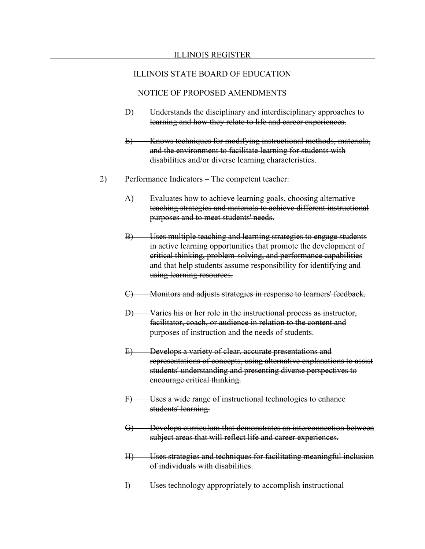- D) Understands the disciplinary and interdisciplinary approaches to learning and how they relate to life and career experiences.
- E) Knows techniques for modifying instructional methods, materials, and the environment to facilitate learning for students with disabilities and/or diverse learning characteristics.
- 2) Performance Indicators The competent teacher:
	- A) Evaluates how to achieve learning goals, choosing alternative teaching strategies and materials to achieve different instructional purposes and to meet students' needs.
	- B) Uses multiple teaching and learning strategies to engage students in active learning opportunities that promote the development of critical thinking, problem-solving, and performance capabilities and that help students assume responsibility for identifying and using learning resources.
	- C) Monitors and adjusts strategies in response to learners' feedback.
	- D) Varies his or her role in the instructional process as instructor, facilitator, coach, or audience in relation to the content and purposes of instruction and the needs of students.
	- E) Develops a variety of clear, accurate presentations and representations of concepts, using alternative explanations to assist students' understanding and presenting diverse perspectives to encourage critical thinking.
	- F) Uses a wide range of instructional technologies to enhance students' learning.
	- G) Develops curriculum that demonstrates an interconnection between subject areas that will reflect life and career experiences.
	- H) Uses strategies and techniques for facilitating meaningful inclusion of individuals with disabilities.
	- I) Uses technology appropriately to accomplish instructional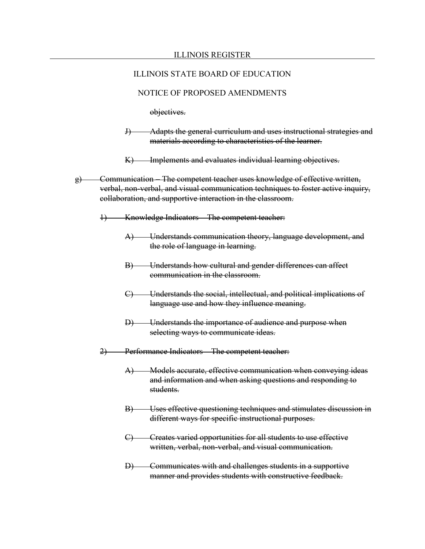### NOTICE OF PROPOSED AMENDMENTS

objectives.

- J) Adapts the general curriculum and uses instructional strategies and materials according to characteristics of the learner.
- K) Implements and evaluates individual learning objectives.
- g) Communication The competent teacher uses knowledge of effective written, verbal, non-verbal, and visual communication techniques to foster active inquiry, collaboration, and supportive interaction in the classroom.
	- Knowledge Indicators The competent teacher:
		- A) Understands communication theory, language development, and the role of language in learning.
		- B) Understands how cultural and gender differences can affect communication in the classroom.
		- C) Understands the social, intellectual, and political implications of language use and how they influence meaning.
		- D) Understands the importance of audience and purpose when selecting ways to communicate ideas.
	- 2) Performance Indicators The competent teacher:
		- A) Models accurate, effective communication when conveying ideas and information and when asking questions and responding to students.
		- B) Uses effective questioning techniques and stimulates discussion in different ways for specific instructional purposes.
		- C) Creates varied opportunities for all students to use effective written, verbal, non-verbal, and visual communication.
		- D) Communicates with and challenges students in a supportive manner and provides students with constructive feedback.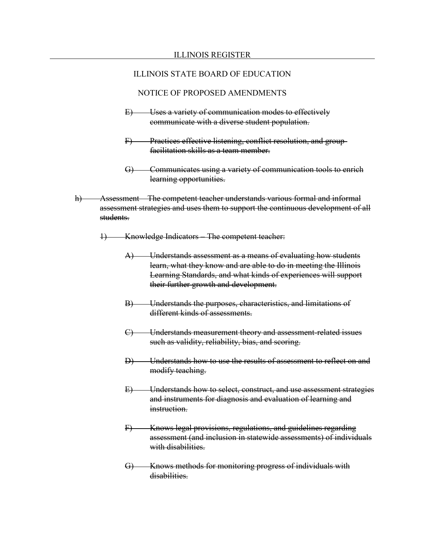- E) Uses a variety of communication modes to effectively communicate with a diverse student population.
- F) Practices effective listening, conflict resolution, and groupfacilitation skills as a team member.
- G) Communicates using a variety of communication tools to enrich learning opportunities.
- h) Assessment The competent teacher understands various formal and informal assessment strategies and uses them to support the continuous development of all students.
	- 1) Knowledge Indicators The competent teacher:
		- A) Understands assessment as a means of evaluating how students learn, what they know and are able to do in meeting the Illinois Learning Standards, and what kinds of experiences will support their further growth and development.
		- B) Understands the purposes, characteristics, and limitations of different kinds of assessments.
		- C) Understands measurement theory and assessment-related issues such as validity, reliability, bias, and scoring.
		- D) Understands how to use the results of assessment to reflect on and modify teaching.
		- E) Understands how to select, construct, and use assessment strategies and instruments for diagnosis and evaluation of learning and instruction.
		- F) Knows legal provisions, regulations, and guidelines regarding assessment (and inclusion in statewide assessments) of individuals with disabilities.
		- G) Knows methods for monitoring progress of individuals with disabilities.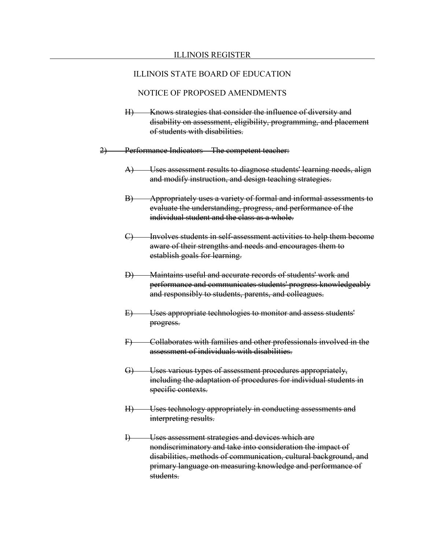- H) Knows strategies that consider the influence of diversity and disability on assessment, eligibility, programming, and placement of students with disabilities.
- 2) Performance Indicators The competent teacher:
	- A) Uses assessment results to diagnose students' learning needs, align and modify instruction, and design teaching strategies.
	- B) Appropriately uses a variety of formal and informal assessments to evaluate the understanding, progress, and performance of the individual student and the class as a whole.
	- C) Involves students in self-assessment activities to help them become aware of their strengths and needs and encourages them to establish goals for learning.
	- D) Maintains useful and accurate records of students' work and performance and communicates students' progress knowledgeably and responsibly to students, parents, and colleagues.
	- E) Uses appropriate technologies to monitor and assess students' progress.
	- F) Collaborates with families and other professionals involved in the assessment of individuals with disabilities.
	- G) Uses various types of assessment procedures appropriately, including the adaptation of procedures for individual students in specific contexts.
	- H) Uses technology appropriately in conducting assessments and interpreting results.
	- I) Uses assessment strategies and devices which are nondiscriminatory and take into consideration the impact of disabilities, methods of communication, cultural background, and primary language on measuring knowledge and performance of students.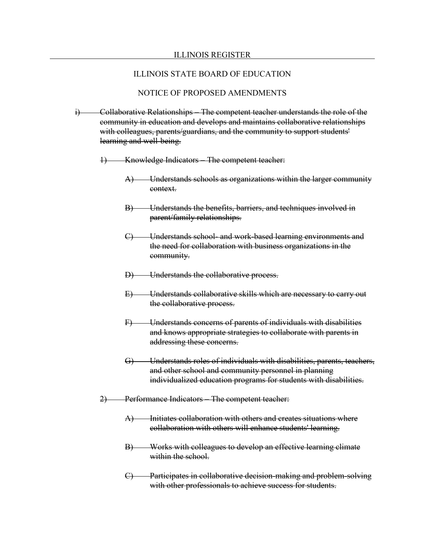#### ILLINOIS REGISTER

#### ILLINOIS STATE BOARD OF EDUCATION

- i) Collaborative Relationships The competent teacher understands the role of the community in education and develops and maintains collaborative relationships with colleagues, parents/guardians, and the community to support students' learning and well-being.
	- 1) Knowledge Indicators The competent teacher:
		- A) Understands schools as organizations within the larger community context.
		- B) Understands the benefits, barriers, and techniques involved in parent/family relationships.
		- C) Understands school- and work-based learning environments and the need for collaboration with business organizations in the community.
		- D) Understands the collaborative process.
		- E) Understands collaborative skills which are necessary to carry out the collaborative process.
		- F) Understands concerns of parents of individuals with disabilities and knows appropriate strategies to collaborate with parents in addressing these concerns.
		- G) Understands roles of individuals with disabilities, parents, teachers, and other school and community personnel in planning individualized education programs for students with disabilities.
	- 2) Performance Indicators The competent teacher:
		- A) Initiates collaboration with others and creates situations where collaboration with others will enhance students' learning.
		- B) Works with colleagues to develop an effective learning climate within the school.
		- C) Participates in collaborative decision-making and problem-solving with other professionals to achieve success for students.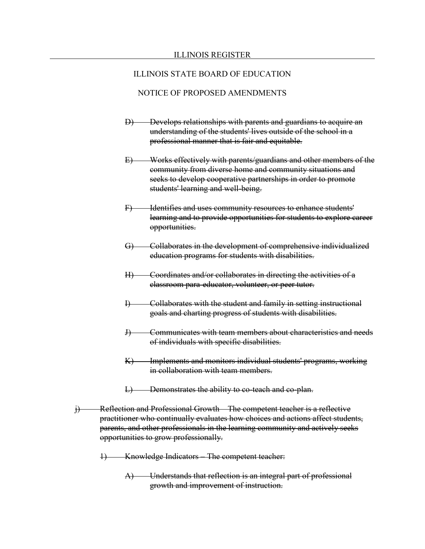- D) Develops relationships with parents and guardians to acquire an understanding of the students' lives outside of the school in a professional manner that is fair and equitable.
- E) Works effectively with parents/guardians and other members of the community from diverse home and community situations and seeks to develop cooperative partnerships in order to promote students' learning and well-being.
- F) Identifies and uses community resources to enhance students' learning and to provide opportunities for students to explore career opportunities.
- G) Collaborates in the development of comprehensive individualized education programs for students with disabilities.
- H) Coordinates and/or collaborates in directing the activities of a classroom para-educator, volunteer, or peer tutor.
- I) Collaborates with the student and family in setting instructional goals and charting progress of students with disabilities.
- J) Communicates with team members about characteristics and needs of individuals with specific disabilities.
- K) Implements and monitors individual students' programs, working in collaboration with team members.
- L) Demonstrates the ability to co-teach and co-plan.
- j) Reflection and Professional Growth The competent teacher is a reflective practitioner who continually evaluates how choices and actions affect students, parents, and other professionals in the learning community and actively seeks opportunities to grow professionally.
	- 1) Knowledge Indicators The competent teacher:
		- A) Understands that reflection is an integral part of professional growth and improvement of instruction.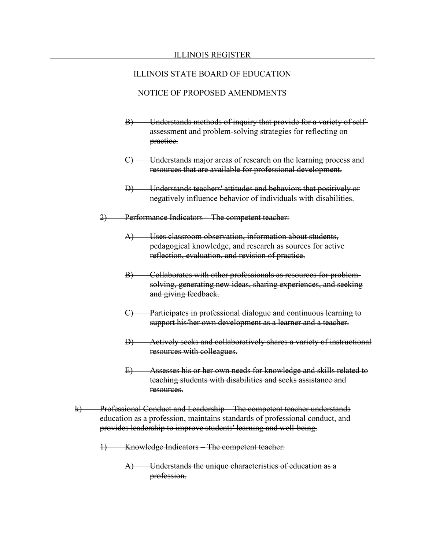- B) Understands methods of inquiry that provide for a variety of selfassessment and problem-solving strategies for reflecting on practice.
- C) Understands major areas of research on the learning process and resources that are available for professional development.
- D) Understands teachers' attitudes and behaviors that positively or negatively influence behavior of individuals with disabilities.
- 2) Performance Indicators The competent teacher:
	- A) Uses classroom observation, information about students, pedagogical knowledge, and research as sources for active reflection, evaluation, and revision of practice.
	- B) Collaborates with other professionals as resources for problemsolving, generating new ideas, sharing experiences, and seeking and giving feedback.
	- C) Participates in professional dialogue and continuous learning to support his/her own development as a learner and a teacher.
	- D) Actively seeks and collaboratively shares a variety of instructional resources with colleagues.
	- E) Assesses his or her own needs for knowledge and skills related to teaching students with disabilities and seeks assistance and resources.
- k) Professional Conduct and Leadership The competent teacher understands education as a profession, maintains standards of professional conduct, and provides leadership to improve students' learning and well-being.
	- 1) Knowledge Indicators The competent teacher:
		- A) Understands the unique characteristics of education as a profession.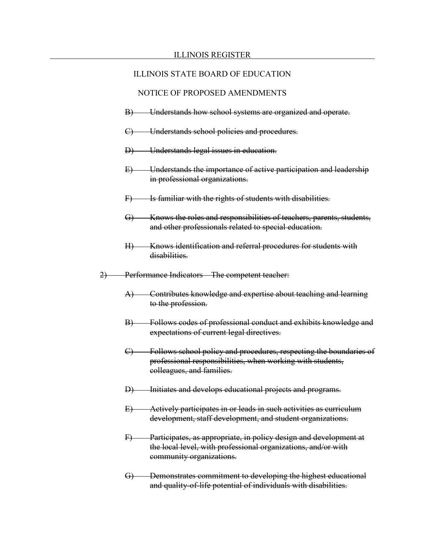- B) Understands how school systems are organized and operate.
- C) Understands school policies and procedures.
- D) Understands legal issues in education.
- E) Understands the importance of active participation and leadership in professional organizations.
- F) Is familiar with the rights of students with disabilities.
- G) Knows the roles and responsibilities of teachers, parents, students, and other professionals related to special education.
- H) Knows identification and referral procedures for students with disabilities.
- 2) Performance Indicators The competent teacher:
	- A) Contributes knowledge and expertise about teaching and learning to the profession.
	- B) Follows codes of professional conduct and exhibits knowledge and expectations of current legal directives.
	- C) Follows school policy and procedures, respecting the boundaries of professional responsibilities, when working with students, colleagues, and families.
	- D) Initiates and develops educational projects and programs.
	- E) Actively participates in or leads in such activities as curriculum development, staff development, and student organizations.
	- F) Participates, as appropriate, in policy design and development at the local level, with professional organizations, and/or with community organizations.
	- G) Demonstrates commitment to developing the highest educational and quality-of-life potential of individuals with disabilities.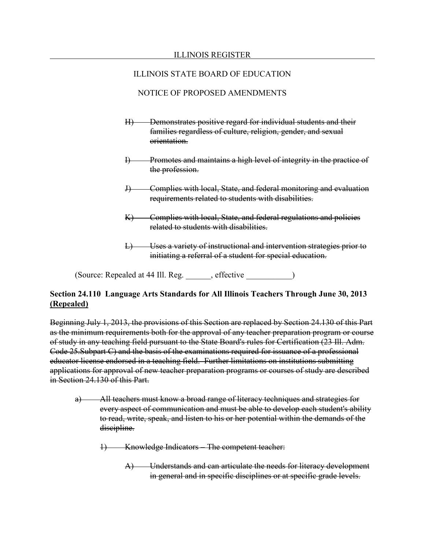# NOTICE OF PROPOSED AMENDMENTS

- H) Demonstrates positive regard for individual students and their families regardless of culture, religion, gender, and sexual orientation.
- I) Promotes and maintains a high level of integrity in the practice of the profession.
- J) Complies with local, State, and federal monitoring and evaluation requirements related to students with disabilities.
- K) Complies with local, State, and federal regulations and policies related to students with disabilities.
- L) Uses a variety of instructional and intervention strategies prior to initiating a referral of a student for special education.

(Source: Repealed at 44 Ill. Reg. effective

# **Section 24.110 Language Arts Standards for All Illinois Teachers Through June 30, 2013 (Repealed)**

Beginning July 1, 2013, the provisions of this Section are replaced by Section 24.130 of this Part as the minimum requirements both for the approval of any teacher preparation program or course of study in any teaching field pursuant to the State Board's rules for Certification (23 Ill. Adm. Code 25.Subpart C) and the basis of the examinations required for issuance of a professional educator license endorsed in a teaching field. Further limitations on institutions submitting applications for approval of new teacher preparation programs or courses of study are described in Section 24.130 of this Part.

- a) All teachers must know a broad range of literacy techniques and strategies for every aspect of communication and must be able to develop each student's ability to read, write, speak, and listen to his or her potential within the demands of the discipline.
	- 1) Knowledge Indicators The competent teacher:
		- A) Understands and can articulate the needs for literacy development in general and in specific disciplines or at specific grade levels.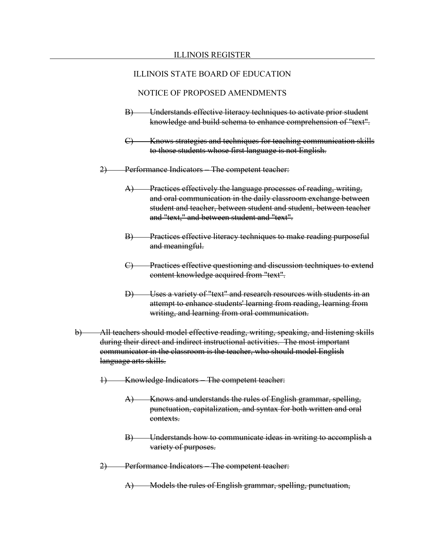- B) Understands effective literacy techniques to activate prior student knowledge and build schema to enhance comprehension of "text".
- C) Knows strategies and techniques for teaching communication skills to those students whose first language is not English.
- 2) Performance Indicators The competent teacher:
	- A) Practices effectively the language processes of reading, writing, and oral communication in the daily classroom exchange between student and teacher, between student and student, between teacher and "text," and between student and "text".
	- B) Practices effective literacy techniques to make reading purposeful and meaningful.
	- C) Practices effective questioning and discussion techniques to extend content knowledge acquired from "text".
	- D) Uses a variety of "text" and research resources with students in an attempt to enhance students' learning from reading, learning from writing, and learning from oral communication.
- b) All teachers should model effective reading, writing, speaking, and listening skills during their direct and indirect instructional activities. The most important communicator in the classroom is the teacher, who should model English language arts skills.
	- Knowledge Indicators The competent teacher:
		- A) Knows and understands the rules of English grammar, spelling, punctuation, capitalization, and syntax for both written and oral contexts.
		- B) Understands how to communicate ideas in writing to accomplish a variety of purposes.
	- 2) Performance Indicators The competent teacher:
		- A) Models the rules of English grammar, spelling, punctuation,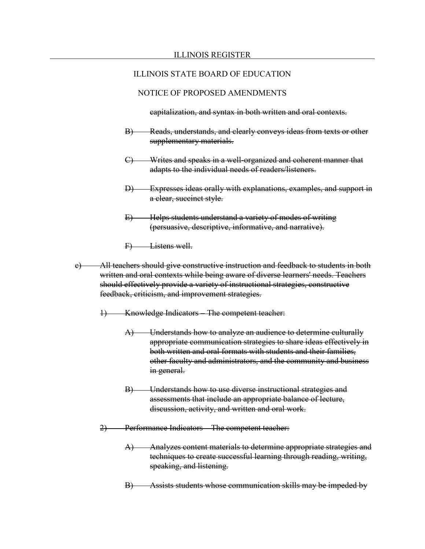### NOTICE OF PROPOSED AMENDMENTS

capitalization, and syntax in both written and oral contexts.

- B) Reads, understands, and clearly conveys ideas from texts or other supplementary materials.
- C) Writes and speaks in a well-organized and coherent manner that adapts to the individual needs of readers/listeners.
- D) Expresses ideas orally with explanations, examples, and support in a clear, succinct style.
- E) Helps students understand a variety of modes of writing (persuasive, descriptive, informative, and narrative).
- F) Listens well.
- c) All teachers should give constructive instruction and feedback to students in both written and oral contexts while being aware of diverse learners' needs. Teachers should effectively provide a variety of instructional strategies, constructive feedback, criticism, and improvement strategies.
	- 1) Knowledge Indicators The competent teacher:
		- A) Understands how to analyze an audience to determine culturally appropriate communication strategies to share ideas effectively in both written and oral formats with students and their families, other faculty and administrators, and the community and business in general.
		- B) Understands how to use diverse instructional strategies and assessments that include an appropriate balance of lecture, discussion, activity, and written and oral work.
	- 2) Performance Indicators The competent teacher:
		- A) Analyzes content materials to determine appropriate strategies and techniques to create successful learning through reading, writing, speaking, and listening.
		- B) Assists students whose communication skills may be impeded by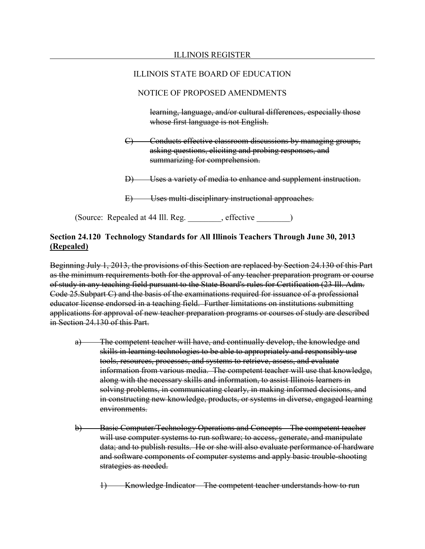# NOTICE OF PROPOSED AMENDMENTS

learning, language, and/or cultural differences, especially those whose first language is not English.

- C) Conducts effective classroom discussions by managing groups, asking questions, eliciting and probing responses, and summarizing for comprehension.
- D) Uses a variety of media to enhance and supplement instruction.
- E) Uses multi-disciplinary instructional approaches.

(Source: Repealed at 44 Ill. Reg. effective )

# **Section 24.120 Technology Standards for All Illinois Teachers Through June 30, 2013 (Repealed)**

Beginning July 1, 2013, the provisions of this Section are replaced by Section 24.130 of this Part as the minimum requirements both for the approval of any teacher preparation program or course of study in any teaching field pursuant to the State Board's rules for Certification (23 Ill. Adm. Code 25.Subpart C) and the basis of the examinations required for issuance of a professional educator license endorsed in a teaching field. Further limitations on institutions submitting applications for approval of new teacher preparation programs or courses of study are described in Section 24.130 of this Part.

- a) The competent teacher will have, and continually develop, the knowledge and skills in learning technologies to be able to appropriately and responsibly use tools, resources, processes, and systems to retrieve, assess, and evaluate information from various media. The competent teacher will use that knowledge, along with the necessary skills and information, to assist Illinois learners in solving problems, in communicating clearly, in making informed decisions, and in constructing new knowledge, products, or systems in diverse, engaged learning environments.
- b) Basic Computer/Technology Operations and Concepts The competent teacher will use computer systems to run software; to access, generate, and manipulate data; and to publish results. He or she will also evaluate performance of hardware and software components of computer systems and apply basic trouble-shooting strategies as needed.

1) Knowledge Indicator – The competent teacher understands how to run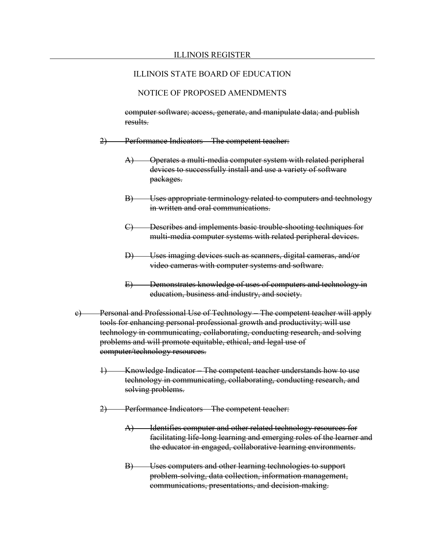### NOTICE OF PROPOSED AMENDMENTS

computer software; access, generate, and manipulate data; and publish results.

- 2) Performance Indicators The competent teacher:
	- A) Operates a multi-media computer system with related peripheral devices to successfully install and use a variety of software packages.
	- B) Uses appropriate terminology related to computers and technology in written and oral communications.
	- C) Describes and implements basic trouble-shooting techniques for multi-media computer systems with related peripheral devices.
	- D) Uses imaging devices such as scanners, digital cameras, and/or video cameras with computer systems and software.
	- E) Demonstrates knowledge of uses of computers and technology in education, business and industry, and society.
- c) Personal and Professional Use of Technology The competent teacher will apply tools for enhancing personal professional growth and productivity; will use technology in communicating, collaborating, conducting research, and solving problems and will promote equitable, ethical, and legal use of computer/technology resources.
	- 1) Knowledge Indicator The competent teacher understands how to use technology in communicating, collaborating, conducting research, and solving problems.
	- 2) Performance Indicators The competent teacher:
		- A) Identifies computer and other related technology resources for facilitating life-long learning and emerging roles of the learner and the educator in engaged, collaborative learning environments.
		- B) Uses computers and other learning technologies to support problem-solving, data collection, information management, communications, presentations, and decision-making.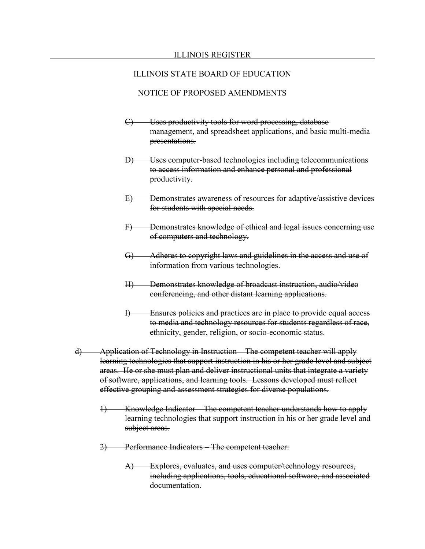- C) Uses productivity tools for word processing, database management, and spreadsheet applications, and basic multi-media presentations.
- D) Uses computer-based technologies including telecommunications to access information and enhance personal and professional productivity.
- E) Demonstrates awareness of resources for adaptive/assistive devices for students with special needs.
- F) Demonstrates knowledge of ethical and legal issues concerning use of computers and technology.
- G) Adheres to copyright laws and guidelines in the access and use of information from various technologies.
- H) Demonstrates knowledge of broadcast instruction, audio/video conferencing, and other distant learning applications.
- I) Ensures policies and practices are in place to provide equal access to media and technology resources for students regardless of race, ethnicity, gender, religion, or socio-economic status.
- d) Application of Technology in Instruction The competent teacher will apply learning technologies that support instruction in his or her grade level and subject areas. He or she must plan and deliver instructional units that integrate a variety of software, applications, and learning tools. Lessons developed must reflect effective grouping and assessment strategies for diverse populations.
	- 1) Knowledge Indicator The competent teacher understands how to apply learning technologies that support instruction in his or her grade level and subject areas.
	- 2) Performance Indicators The competent teacher:
		- A) Explores, evaluates, and uses computer/technology resources, including applications, tools, educational software, and associated documentation.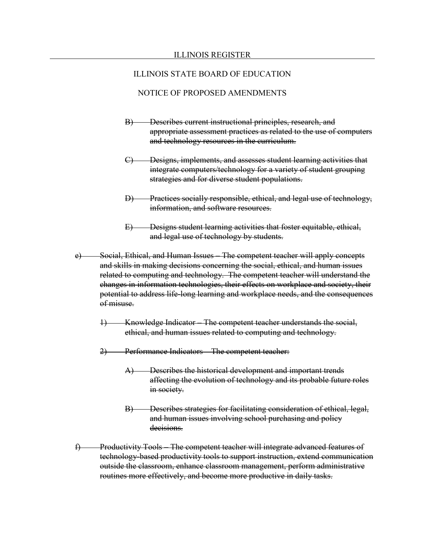- B) Describes current instructional principles, research, and appropriate assessment practices as related to the use of computers and technology resources in the curriculum.
- C) Designs, implements, and assesses student learning activities that integrate computers/technology for a variety of student grouping strategies and for diverse student populations.
- D) Practices socially responsible, ethical, and legal use of technology, information, and software resources.
- E) Designs student learning activities that foster equitable, ethical, and legal use of technology by students.
- e) Social, Ethical, and Human Issues The competent teacher will apply concepts and skills in making decisions concerning the social, ethical, and human issues related to computing and technology. The competent teacher will understand the changes in information technologies, their effects on workplace and society, their potential to address life-long learning and workplace needs, and the consequences of misuse.
	- 1) Knowledge Indicator The competent teacher understands the social, ethical, and human issues related to computing and technology.
	- 2) Performance Indicators The competent teacher:
		- A) Describes the historical development and important trends affecting the evolution of technology and its probable future roles in society.
		- B) Describes strategies for facilitating consideration of ethical, legal, and human issues involving school purchasing and policy decisions.
- f) Productivity Tools The competent teacher will integrate advanced features of technology-based productivity tools to support instruction, extend communication outside the classroom, enhance classroom management, perform administrative routines more effectively, and become more productive in daily tasks.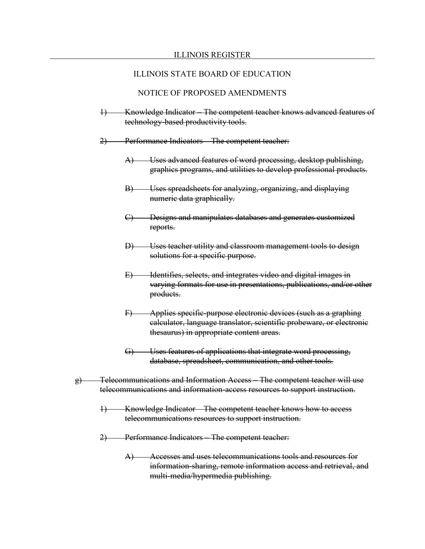- 1) Knowledge Indicator The competent teacher knows advanced features of technology-based productivity tools.
- 2) Performance Indicators The competent teacher:
	- A) Uses advanced features of word processing, desktop publishing, graphics programs, and utilities to develop professional products.
	- B) Uses spreadsheets for analyzing, organizing, and displaying numeric data graphically.
	- C) Designs and manipulates databases and generates customized reports.
	- D) Uses teacher utility and classroom management tools to design solutions for a specific purpose.
	- E) Identifies, selects, and integrates video and digital images in varying formats for use in presentations, publications, and/or other products.
	- F) Applies specific-purpose electronic devices (such as a graphing calculator, language translator, scientific probeware, or electronic thesaurus) in appropriate content areas.
	- G) Uses features of applications that integrate word processing, database, spreadsheet, communication, and other tools.
- g) Telecommunications and Information Access The competent teacher will use telecommunications and information-access resources to support instruction.
	- 1) Knowledge Indicator The competent teacher knows how to access telecommunications resources to support instruction.
	- 2) Performance Indicators The competent teacher:
		- A) Accesses and uses telecommunications tools and resources for information-sharing, remote information access and retrieval, and multi-media/hypermedia publishing.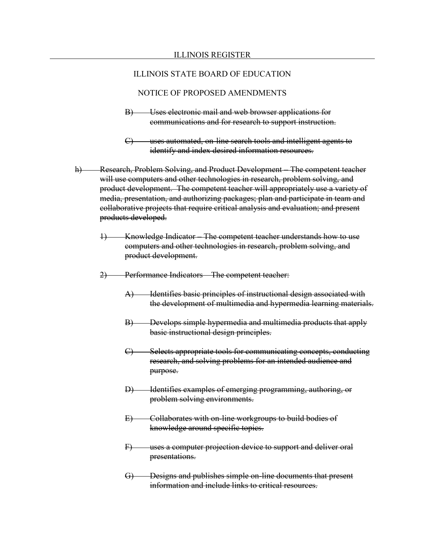- B) Uses electronic mail and web browser applications for communications and for research to support instruction.
- C) uses automated, on-line search tools and intelligent agents to identify and index desired information resources.
- h) Research, Problem Solving, and Product Development The competent teacher will use computers and other technologies in research, problem solving, and product development. The competent teacher will appropriately use a variety of media, presentation, and authorizing packages; plan and participate in team and collaborative projects that require critical analysis and evaluation; and present products developed.
	- 1) Knowledge Indicator The competent teacher understands how to use computers and other technologies in research, problem solving, and product development.
	- 2) Performance Indicators The competent teacher:
		- A) Identifies basic principles of instructional design associated with the development of multimedia and hypermedia learning materials.
		- B) Develops simple hypermedia and multimedia products that apply basic instructional design principles.
		- C) Selects appropriate tools for communicating concepts, conducting research, and solving problems for an intended audience and purpose.
		- D) Identifies examples of emerging programming, authoring, or problem solving environments.
		- E) Collaborates with on-line workgroups to build bodies of knowledge around specific topics.
		- F) uses a computer projection device to support and deliver oral presentations.
		- G) Designs and publishes simple on-line documents that present information and include links to critical resources.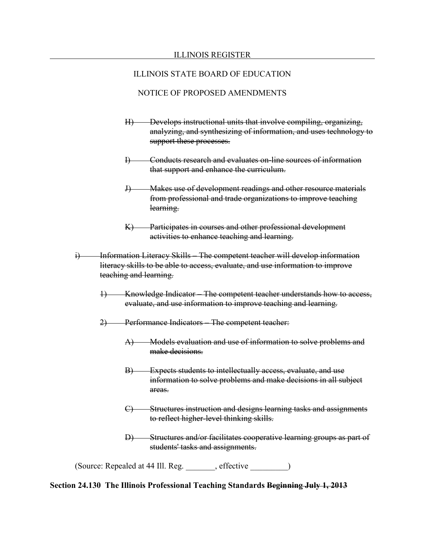### NOTICE OF PROPOSED AMENDMENTS

- H) Develops instructional units that involve compiling, organizing, analyzing, and synthesizing of information, and uses technology to support these processes.
- I) Conducts research and evaluates on-line sources of information that support and enhance the curriculum.
- J) Makes use of development readings and other resource materials from professional and trade organizations to improve teaching learning.
- K) Participates in courses and other professional development activities to enhance teaching and learning.
- i) Information Literacy Skills The competent teacher will develop information literacy skills to be able to access, evaluate, and use information to improve teaching and learning.
	- 1) Knowledge Indicator The competent teacher understands how to access, evaluate, and use information to improve teaching and learning.
	- 2) Performance Indicators The competent teacher:
		- A) Models evaluation and use of information to solve problems and make decisions.
		- B) Expects students to intellectually access, evaluate, and use information to solve problems and make decisions in all subject areas.
		- C) Structures instruction and designs learning tasks and assignments to reflect higher-level thinking skills.
		- D) Structures and/or facilitates cooperative learning groups as part of students' tasks and assignments.

(Source: Repealed at 44 Ill. Reg. \_\_\_\_\_\_\_, effective \_\_\_\_\_\_\_\_\_)

#### **Section 24.130 The Illinois Professional Teaching Standards Beginning July 1, 2013**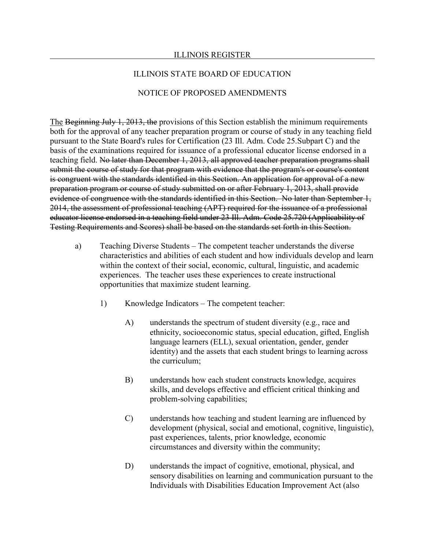### ILLINOIS REGISTER

### ILLINOIS STATE BOARD OF EDUCATION

### NOTICE OF PROPOSED AMENDMENTS

The Beginning July 1, 2013, the provisions of this Section establish the minimum requirements both for the approval of any teacher preparation program or course of study in any teaching field pursuant to the State Board's rules for Certification (23 Ill. Adm. Code 25.Subpart C) and the basis of the examinations required for issuance of a professional educator license endorsed in a teaching field. No later than December 1, 2013, all approved teacher preparation programs shall submit the course of study for that program with evidence that the program's or course's content is congruent with the standards identified in this Section. An application for approval of a new preparation program or course of study submitted on or after February 1, 2013, shall provide evidence of congruence with the standards identified in this Section. No later than September 1, 2014, the assessment of professional teaching (APT) required for the issuance of a professional educator license endorsed in a teaching field under 23 Ill. Adm. Code 25.720 (Applicability of Testing Requirements and Scores) shall be based on the standards set forth in this Section.

- a) Teaching Diverse Students The competent teacher understands the diverse characteristics and abilities of each student and how individuals develop and learn within the context of their social, economic, cultural, linguistic, and academic experiences. The teacher uses these experiences to create instructional opportunities that maximize student learning.
	- 1) Knowledge Indicators The competent teacher:
		- A) understands the spectrum of student diversity (e.g., race and ethnicity, socioeconomic status, special education, gifted, English language learners (ELL), sexual orientation, gender, gender identity) and the assets that each student brings to learning across the curriculum;
		- B) understands how each student constructs knowledge, acquires skills, and develops effective and efficient critical thinking and problem-solving capabilities;
		- C) understands how teaching and student learning are influenced by development (physical, social and emotional, cognitive, linguistic), past experiences, talents, prior knowledge, economic circumstances and diversity within the community;
		- D) understands the impact of cognitive, emotional, physical, and sensory disabilities on learning and communication pursuant to the Individuals with Disabilities Education Improvement Act (also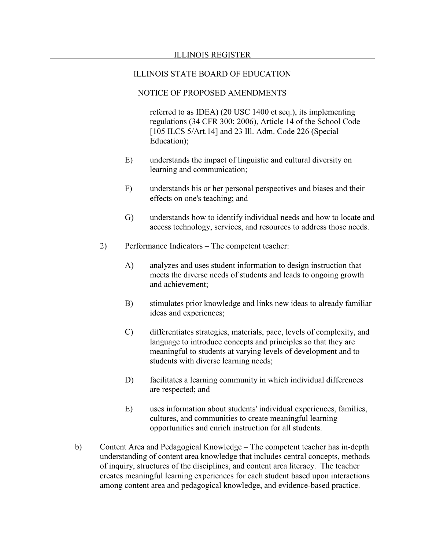### NOTICE OF PROPOSED AMENDMENTS

referred to as IDEA) (20 USC 1400 et seq.), its implementing regulations (34 CFR 300; 2006), Article 14 of the School Code [105 ILCS 5/Art.14] and 23 Ill. Adm. Code 226 (Special) Education);

- E) understands the impact of linguistic and cultural diversity on learning and communication;
- F) understands his or her personal perspectives and biases and their effects on one's teaching; and
- G) understands how to identify individual needs and how to locate and access technology, services, and resources to address those needs.
- 2) Performance Indicators The competent teacher:
	- A) analyzes and uses student information to design instruction that meets the diverse needs of students and leads to ongoing growth and achievement;
	- B) stimulates prior knowledge and links new ideas to already familiar ideas and experiences;
	- C) differentiates strategies, materials, pace, levels of complexity, and language to introduce concepts and principles so that they are meaningful to students at varying levels of development and to students with diverse learning needs;
	- D) facilitates a learning community in which individual differences are respected; and
	- E) uses information about students' individual experiences, families, cultures, and communities to create meaningful learning opportunities and enrich instruction for all students.
- b) Content Area and Pedagogical Knowledge The competent teacher has in-depth understanding of content area knowledge that includes central concepts, methods of inquiry, structures of the disciplines, and content area literacy. The teacher creates meaningful learning experiences for each student based upon interactions among content area and pedagogical knowledge, and evidence-based practice.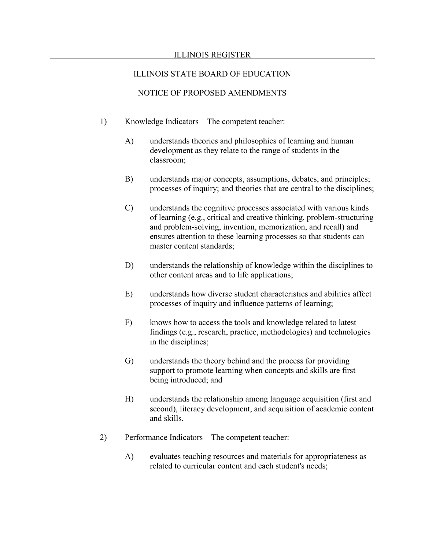#### ILLINOIS REGISTER

## ILLINOIS STATE BOARD OF EDUCATION

- 1) Knowledge Indicators The competent teacher:
	- A) understands theories and philosophies of learning and human development as they relate to the range of students in the classroom;
	- B) understands major concepts, assumptions, debates, and principles; processes of inquiry; and theories that are central to the disciplines;
	- C) understands the cognitive processes associated with various kinds of learning (e.g., critical and creative thinking, problem-structuring and problem-solving, invention, memorization, and recall) and ensures attention to these learning processes so that students can master content standards;
	- D) understands the relationship of knowledge within the disciplines to other content areas and to life applications;
	- E) understands how diverse student characteristics and abilities affect processes of inquiry and influence patterns of learning;
	- F) knows how to access the tools and knowledge related to latest findings (e.g., research, practice, methodologies) and technologies in the disciplines;
	- G) understands the theory behind and the process for providing support to promote learning when concepts and skills are first being introduced; and
	- H) understands the relationship among language acquisition (first and second), literacy development, and acquisition of academic content and skills.
- 2) Performance Indicators The competent teacher:
	- A) evaluates teaching resources and materials for appropriateness as related to curricular content and each student's needs;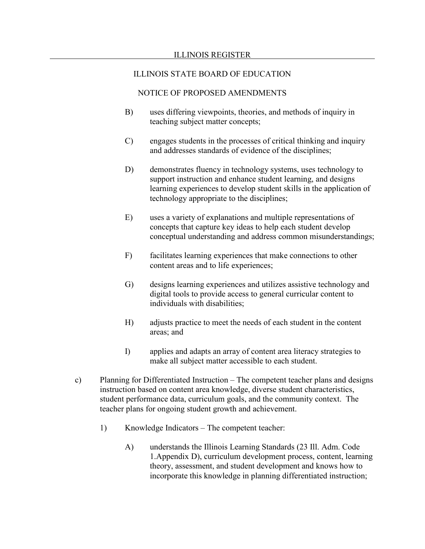- B) uses differing viewpoints, theories, and methods of inquiry in teaching subject matter concepts;
- C) engages students in the processes of critical thinking and inquiry and addresses standards of evidence of the disciplines;
- D) demonstrates fluency in technology systems, uses technology to support instruction and enhance student learning, and designs learning experiences to develop student skills in the application of technology appropriate to the disciplines;
- E) uses a variety of explanations and multiple representations of concepts that capture key ideas to help each student develop conceptual understanding and address common misunderstandings;
- F) facilitates learning experiences that make connections to other content areas and to life experiences;
- G) designs learning experiences and utilizes assistive technology and digital tools to provide access to general curricular content to individuals with disabilities;
- H) adjusts practice to meet the needs of each student in the content areas; and
- I) applies and adapts an array of content area literacy strategies to make all subject matter accessible to each student.
- c) Planning for Differentiated Instruction The competent teacher plans and designs instruction based on content area knowledge, diverse student characteristics, student performance data, curriculum goals, and the community context. The teacher plans for ongoing student growth and achievement.
	- 1) Knowledge Indicators The competent teacher:
		- A) understands the Illinois Learning Standards (23 Ill. Adm. Code 1.Appendix D), curriculum development process, content, learning theory, assessment, and student development and knows how to incorporate this knowledge in planning differentiated instruction;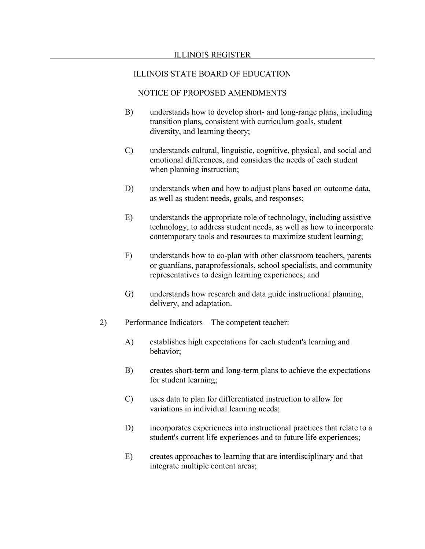- B) understands how to develop short- and long-range plans, including transition plans, consistent with curriculum goals, student diversity, and learning theory;
- C) understands cultural, linguistic, cognitive, physical, and social and emotional differences, and considers the needs of each student when planning instruction;
- D) understands when and how to adjust plans based on outcome data, as well as student needs, goals, and responses;
- E) understands the appropriate role of technology, including assistive technology, to address student needs, as well as how to incorporate contemporary tools and resources to maximize student learning;
- F) understands how to co-plan with other classroom teachers, parents or guardians, paraprofessionals, school specialists, and community representatives to design learning experiences; and
- G) understands how research and data guide instructional planning, delivery, and adaptation.
- 2) Performance Indicators The competent teacher:
	- A) establishes high expectations for each student's learning and behavior;
	- B) creates short-term and long-term plans to achieve the expectations for student learning;
	- C) uses data to plan for differentiated instruction to allow for variations in individual learning needs;
	- D) incorporates experiences into instructional practices that relate to a student's current life experiences and to future life experiences;
	- E) creates approaches to learning that are interdisciplinary and that integrate multiple content areas;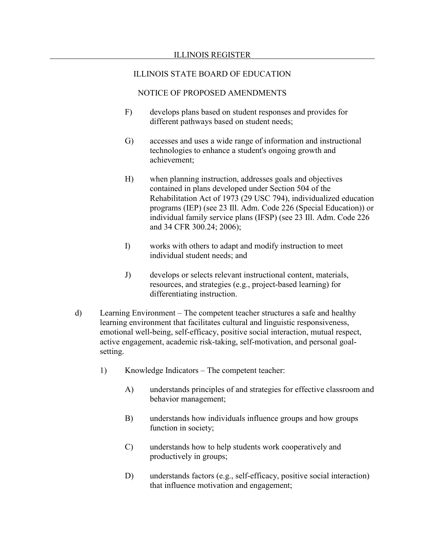- F) develops plans based on student responses and provides for different pathways based on student needs;
- G) accesses and uses a wide range of information and instructional technologies to enhance a student's ongoing growth and achievement;
- H) when planning instruction, addresses goals and objectives contained in plans developed under Section 504 of the Rehabilitation Act of 1973 (29 USC 794), individualized education programs (IEP) (see 23 Ill. Adm. Code 226 (Special Education)) or individual family service plans (IFSP) (see 23 Ill. Adm. Code 226 and 34 CFR 300.24; 2006);
- I) works with others to adapt and modify instruction to meet individual student needs; and
- J) develops or selects relevant instructional content, materials, resources, and strategies (e.g., project-based learning) for differentiating instruction.
- d) Learning Environment The competent teacher structures a safe and healthy learning environment that facilitates cultural and linguistic responsiveness, emotional well-being, self-efficacy, positive social interaction, mutual respect, active engagement, academic risk-taking, self-motivation, and personal goalsetting.
	- 1) Knowledge Indicators The competent teacher:
		- A) understands principles of and strategies for effective classroom and behavior management;
		- B) understands how individuals influence groups and how groups function in society;
		- C) understands how to help students work cooperatively and productively in groups;
		- D) understands factors (e.g., self-efficacy, positive social interaction) that influence motivation and engagement;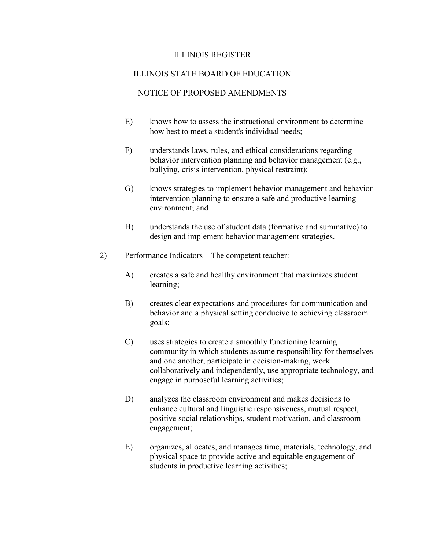- E) knows how to assess the instructional environment to determine how best to meet a student's individual needs;
- F) understands laws, rules, and ethical considerations regarding behavior intervention planning and behavior management (e.g., bullying, crisis intervention, physical restraint);
- G) knows strategies to implement behavior management and behavior intervention planning to ensure a safe and productive learning environment; and
- H) understands the use of student data (formative and summative) to design and implement behavior management strategies.
- 2) Performance Indicators The competent teacher:
	- A) creates a safe and healthy environment that maximizes student learning;
	- B) creates clear expectations and procedures for communication and behavior and a physical setting conducive to achieving classroom goals;
	- C) uses strategies to create a smoothly functioning learning community in which students assume responsibility for themselves and one another, participate in decision-making, work collaboratively and independently, use appropriate technology, and engage in purposeful learning activities;
	- D) analyzes the classroom environment and makes decisions to enhance cultural and linguistic responsiveness, mutual respect, positive social relationships, student motivation, and classroom engagement;
	- E) organizes, allocates, and manages time, materials, technology, and physical space to provide active and equitable engagement of students in productive learning activities;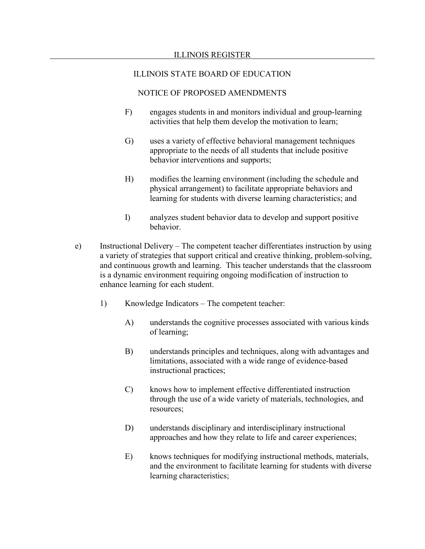- F) engages students in and monitors individual and group-learning activities that help them develop the motivation to learn;
- G) uses a variety of effective behavioral management techniques appropriate to the needs of all students that include positive behavior interventions and supports;
- H) modifies the learning environment (including the schedule and physical arrangement) to facilitate appropriate behaviors and learning for students with diverse learning characteristics; and
- I) analyzes student behavior data to develop and support positive behavior.
- e) Instructional Delivery The competent teacher differentiates instruction by using a variety of strategies that support critical and creative thinking, problem-solving, and continuous growth and learning. This teacher understands that the classroom is a dynamic environment requiring ongoing modification of instruction to enhance learning for each student.
	- 1) Knowledge Indicators The competent teacher:
		- A) understands the cognitive processes associated with various kinds of learning;
		- B) understands principles and techniques, along with advantages and limitations, associated with a wide range of evidence-based instructional practices;
		- C) knows how to implement effective differentiated instruction through the use of a wide variety of materials, technologies, and resources;
		- D) understands disciplinary and interdisciplinary instructional approaches and how they relate to life and career experiences;
		- E) knows techniques for modifying instructional methods, materials, and the environment to facilitate learning for students with diverse learning characteristics;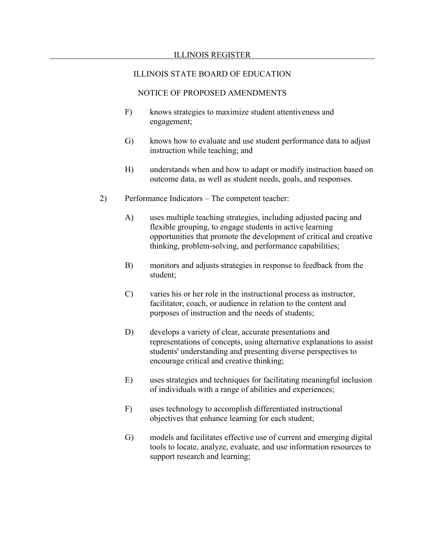- F) knows strategies to maximize student attentiveness and engagement;
- G) knows how to evaluate and use student performance data to adjust instruction while teaching; and
- H) understands when and how to adapt or modify instruction based on outcome data, as well as student needs, goals, and responses.
- 2) Performance Indicators The competent teacher:
	- A) uses multiple teaching strategies, including adjusted pacing and flexible grouping, to engage students in active learning opportunities that promote the development of critical and creative thinking, problem-solving, and performance capabilities;
	- B) monitors and adjusts strategies in response to feedback from the student;
	- C) varies his or her role in the instructional process as instructor, facilitator, coach, or audience in relation to the content and purposes of instruction and the needs of students;
	- D) develops a variety of clear, accurate presentations and representations of concepts, using alternative explanations to assist students' understanding and presenting diverse perspectives to encourage critical and creative thinking;
	- E) uses strategies and techniques for facilitating meaningful inclusion of individuals with a range of abilities and experiences;
	- F) uses technology to accomplish differentiated instructional objectives that enhance learning for each student;
	- G) models and facilitates effective use of current and emerging digital tools to locate, analyze, evaluate, and use information resources to support research and learning;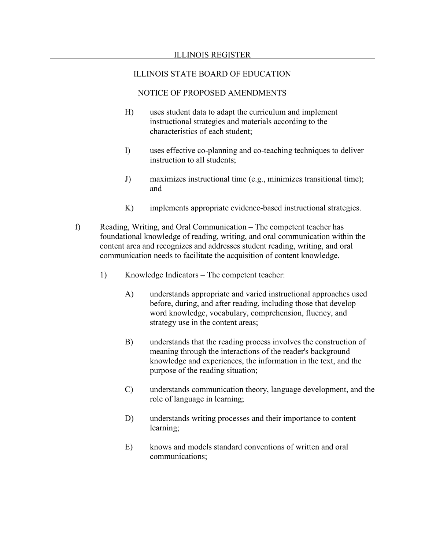- H) uses student data to adapt the curriculum and implement instructional strategies and materials according to the characteristics of each student;
- I) uses effective co-planning and co-teaching techniques to deliver instruction to all students;
- J) maximizes instructional time (e.g., minimizes transitional time); and
- K) implements appropriate evidence-based instructional strategies.
- f) Reading, Writing, and Oral Communication The competent teacher has foundational knowledge of reading, writing, and oral communication within the content area and recognizes and addresses student reading, writing, and oral communication needs to facilitate the acquisition of content knowledge.
	- 1) Knowledge Indicators The competent teacher:
		- A) understands appropriate and varied instructional approaches used before, during, and after reading, including those that develop word knowledge, vocabulary, comprehension, fluency, and strategy use in the content areas;
		- B) understands that the reading process involves the construction of meaning through the interactions of the reader's background knowledge and experiences, the information in the text, and the purpose of the reading situation;
		- C) understands communication theory, language development, and the role of language in learning;
		- D) understands writing processes and their importance to content learning;
		- E) knows and models standard conventions of written and oral communications;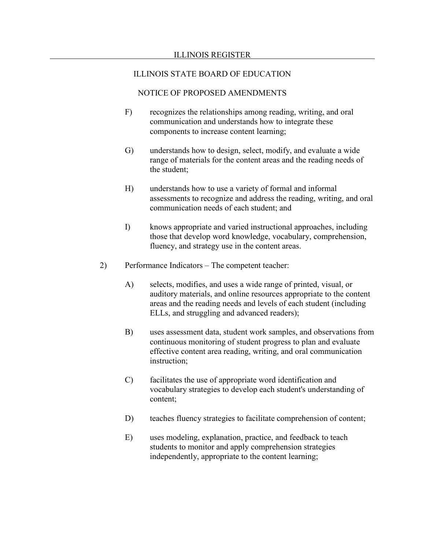- F) recognizes the relationships among reading, writing, and oral communication and understands how to integrate these components to increase content learning;
- G) understands how to design, select, modify, and evaluate a wide range of materials for the content areas and the reading needs of the student;
- H) understands how to use a variety of formal and informal assessments to recognize and address the reading, writing, and oral communication needs of each student; and
- I) knows appropriate and varied instructional approaches, including those that develop word knowledge, vocabulary, comprehension, fluency, and strategy use in the content areas.
- 2) Performance Indicators The competent teacher:
	- A) selects, modifies, and uses a wide range of printed, visual, or auditory materials, and online resources appropriate to the content areas and the reading needs and levels of each student (including ELLs, and struggling and advanced readers);
	- B) uses assessment data, student work samples, and observations from continuous monitoring of student progress to plan and evaluate effective content area reading, writing, and oral communication instruction;
	- C) facilitates the use of appropriate word identification and vocabulary strategies to develop each student's understanding of content;
	- D) teaches fluency strategies to facilitate comprehension of content;
	- E) uses modeling, explanation, practice, and feedback to teach students to monitor and apply comprehension strategies independently, appropriate to the content learning;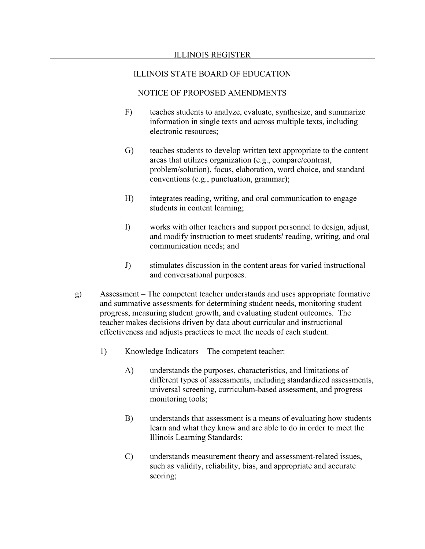- F) teaches students to analyze, evaluate, synthesize, and summarize information in single texts and across multiple texts, including electronic resources;
- G) teaches students to develop written text appropriate to the content areas that utilizes organization (e.g., compare/contrast, problem/solution), focus, elaboration, word choice, and standard conventions (e.g., punctuation, grammar);
- H) integrates reading, writing, and oral communication to engage students in content learning;
- I) works with other teachers and support personnel to design, adjust, and modify instruction to meet students' reading, writing, and oral communication needs; and
- J) stimulates discussion in the content areas for varied instructional and conversational purposes.
- g) Assessment The competent teacher understands and uses appropriate formative and summative assessments for determining student needs, monitoring student progress, measuring student growth, and evaluating student outcomes. The teacher makes decisions driven by data about curricular and instructional effectiveness and adjusts practices to meet the needs of each student.
	- 1) Knowledge Indicators The competent teacher:
		- A) understands the purposes, characteristics, and limitations of different types of assessments, including standardized assessments, universal screening, curriculum-based assessment, and progress monitoring tools;
		- B) understands that assessment is a means of evaluating how students learn and what they know and are able to do in order to meet the Illinois Learning Standards;
		- C) understands measurement theory and assessment-related issues, such as validity, reliability, bias, and appropriate and accurate scoring;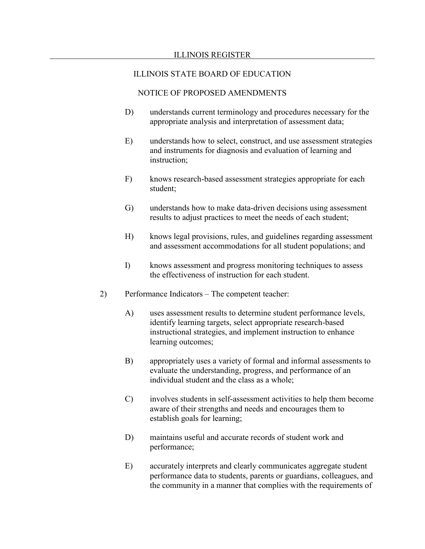- D) understands current terminology and procedures necessary for the appropriate analysis and interpretation of assessment data;
- E) understands how to select, construct, and use assessment strategies and instruments for diagnosis and evaluation of learning and instruction;
- F) knows research-based assessment strategies appropriate for each student;
- G) understands how to make data-driven decisions using assessment results to adjust practices to meet the needs of each student;
- H) knows legal provisions, rules, and guidelines regarding assessment and assessment accommodations for all student populations; and
- I) knows assessment and progress monitoring techniques to assess the effectiveness of instruction for each student.
- 2) Performance Indicators The competent teacher:
	- A) uses assessment results to determine student performance levels, identify learning targets, select appropriate research-based instructional strategies, and implement instruction to enhance learning outcomes;
	- B) appropriately uses a variety of formal and informal assessments to evaluate the understanding, progress, and performance of an individual student and the class as a whole;
	- C) involves students in self-assessment activities to help them become aware of their strengths and needs and encourages them to establish goals for learning;
	- D) maintains useful and accurate records of student work and performance;
	- E) accurately interprets and clearly communicates aggregate student performance data to students, parents or guardians, colleagues, and the community in a manner that complies with the requirements of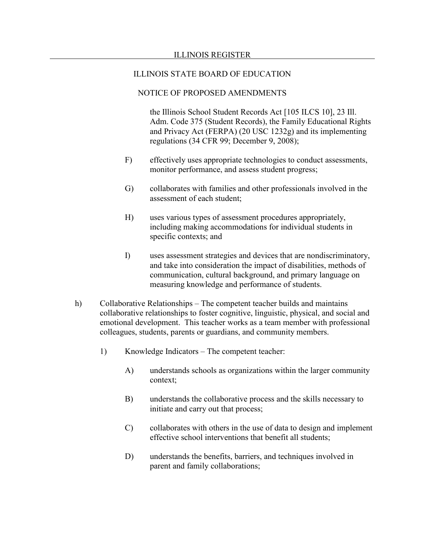# NOTICE OF PROPOSED AMENDMENTS

the Illinois School Student Records Act [105 ILCS 10], 23 Ill. Adm. Code 375 (Student Records), the Family Educational Rights and Privacy Act (FERPA) (20 USC 1232g) and its implementing regulations (34 CFR 99; December 9, 2008);

- F) effectively uses appropriate technologies to conduct assessments, monitor performance, and assess student progress;
- G) collaborates with families and other professionals involved in the assessment of each student;
- H) uses various types of assessment procedures appropriately, including making accommodations for individual students in specific contexts; and
- I) uses assessment strategies and devices that are nondiscriminatory, and take into consideration the impact of disabilities, methods of communication, cultural background, and primary language on measuring knowledge and performance of students.
- h) Collaborative Relationships The competent teacher builds and maintains collaborative relationships to foster cognitive, linguistic, physical, and social and emotional development. This teacher works as a team member with professional colleagues, students, parents or guardians, and community members.
	- 1) Knowledge Indicators The competent teacher:
		- A) understands schools as organizations within the larger community context;
		- B) understands the collaborative process and the skills necessary to initiate and carry out that process;
		- C) collaborates with others in the use of data to design and implement effective school interventions that benefit all students;
		- D) understands the benefits, barriers, and techniques involved in parent and family collaborations;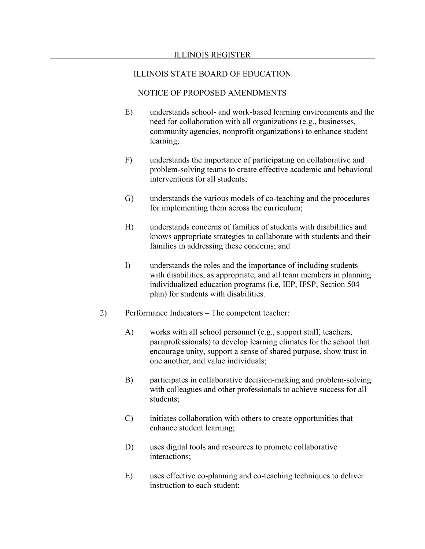- E) understands school- and work-based learning environments and the need for collaboration with all organizations (e.g., businesses, community agencies, nonprofit organizations) to enhance student learning;
- F) understands the importance of participating on collaborative and problem-solving teams to create effective academic and behavioral interventions for all students;
- G) understands the various models of co-teaching and the procedures for implementing them across the curriculum;
- H) understands concerns of families of students with disabilities and knows appropriate strategies to collaborate with students and their families in addressing these concerns; and
- I) understands the roles and the importance of including students with disabilities, as appropriate, and all team members in planning individualized education programs (i.e, IEP, IFSP, Section 504 plan) for students with disabilities.
- 2) Performance Indicators The competent teacher:
	- A) works with all school personnel (e.g., support staff, teachers, paraprofessionals) to develop learning climates for the school that encourage unity, support a sense of shared purpose, show trust in one another, and value individuals;
	- B) participates in collaborative decision-making and problem-solving with colleagues and other professionals to achieve success for all students;
	- C) initiates collaboration with others to create opportunities that enhance student learning;
	- D) uses digital tools and resources to promote collaborative interactions;
	- E) uses effective co-planning and co-teaching techniques to deliver instruction to each student;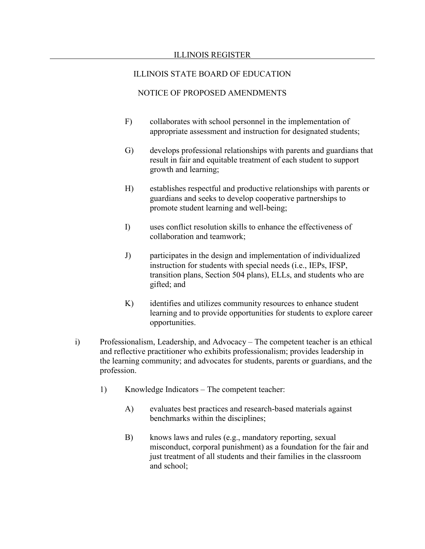- F) collaborates with school personnel in the implementation of appropriate assessment and instruction for designated students;
- G) develops professional relationships with parents and guardians that result in fair and equitable treatment of each student to support growth and learning;
- H) establishes respectful and productive relationships with parents or guardians and seeks to develop cooperative partnerships to promote student learning and well-being;
- I) uses conflict resolution skills to enhance the effectiveness of collaboration and teamwork;
- J) participates in the design and implementation of individualized instruction for students with special needs (i.e., IEPs, IFSP, transition plans, Section 504 plans), ELLs, and students who are gifted; and
- K) identifies and utilizes community resources to enhance student learning and to provide opportunities for students to explore career opportunities.
- i) Professionalism, Leadership, and Advocacy The competent teacher is an ethical and reflective practitioner who exhibits professionalism; provides leadership in the learning community; and advocates for students, parents or guardians, and the profession.
	- 1) Knowledge Indicators The competent teacher:
		- A) evaluates best practices and research-based materials against benchmarks within the disciplines;
		- B) knows laws and rules (e.g., mandatory reporting, sexual misconduct, corporal punishment) as a foundation for the fair and just treatment of all students and their families in the classroom and school;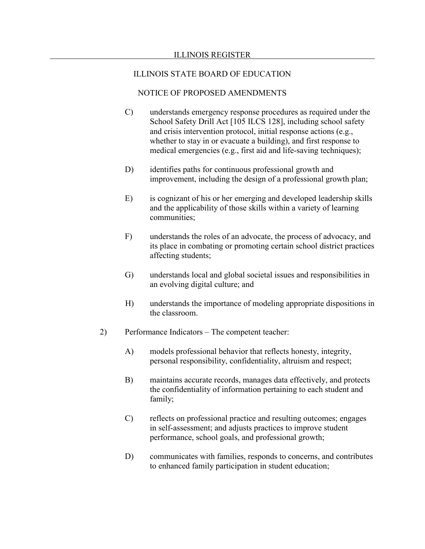- C) understands emergency response procedures as required under the School Safety Drill Act [105 ILCS 128], including school safety and crisis intervention protocol, initial response actions (e.g., whether to stay in or evacuate a building), and first response to medical emergencies (e.g., first aid and life-saving techniques);
- D) identifies paths for continuous professional growth and improvement, including the design of a professional growth plan;
- E) is cognizant of his or her emerging and developed leadership skills and the applicability of those skills within a variety of learning communities;
- F) understands the roles of an advocate, the process of advocacy, and its place in combating or promoting certain school district practices affecting students;
- G) understands local and global societal issues and responsibilities in an evolving digital culture; and
- H) understands the importance of modeling appropriate dispositions in the classroom.
- 2) Performance Indicators The competent teacher:
	- A) models professional behavior that reflects honesty, integrity, personal responsibility, confidentiality, altruism and respect;
	- B) maintains accurate records, manages data effectively, and protects the confidentiality of information pertaining to each student and family;
	- C) reflects on professional practice and resulting outcomes; engages in self-assessment; and adjusts practices to improve student performance, school goals, and professional growth;
	- D) communicates with families, responds to concerns, and contributes to enhanced family participation in student education;